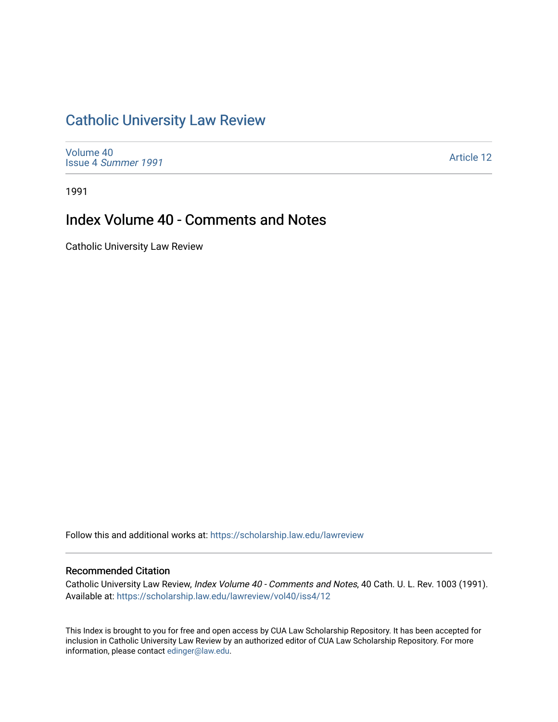## [Catholic University Law Review](https://scholarship.law.edu/lawreview)

[Volume 40](https://scholarship.law.edu/lawreview/vol40) Issue 4 [Summer 1991](https://scholarship.law.edu/lawreview/vol40/iss4) 

[Article 12](https://scholarship.law.edu/lawreview/vol40/iss4/12) 

1991

## Index Volume 40 - Comments and Notes

Catholic University Law Review

Follow this and additional works at: [https://scholarship.law.edu/lawreview](https://scholarship.law.edu/lawreview?utm_source=scholarship.law.edu%2Flawreview%2Fvol40%2Fiss4%2F12&utm_medium=PDF&utm_campaign=PDFCoverPages)

## Recommended Citation

Catholic University Law Review, Index Volume 40 - Comments and Notes, 40 Cath. U. L. Rev. 1003 (1991). Available at: [https://scholarship.law.edu/lawreview/vol40/iss4/12](https://scholarship.law.edu/lawreview/vol40/iss4/12?utm_source=scholarship.law.edu%2Flawreview%2Fvol40%2Fiss4%2F12&utm_medium=PDF&utm_campaign=PDFCoverPages) 

This Index is brought to you for free and open access by CUA Law Scholarship Repository. It has been accepted for inclusion in Catholic University Law Review by an authorized editor of CUA Law Scholarship Repository. For more information, please contact [edinger@law.edu.](mailto:edinger@law.edu)